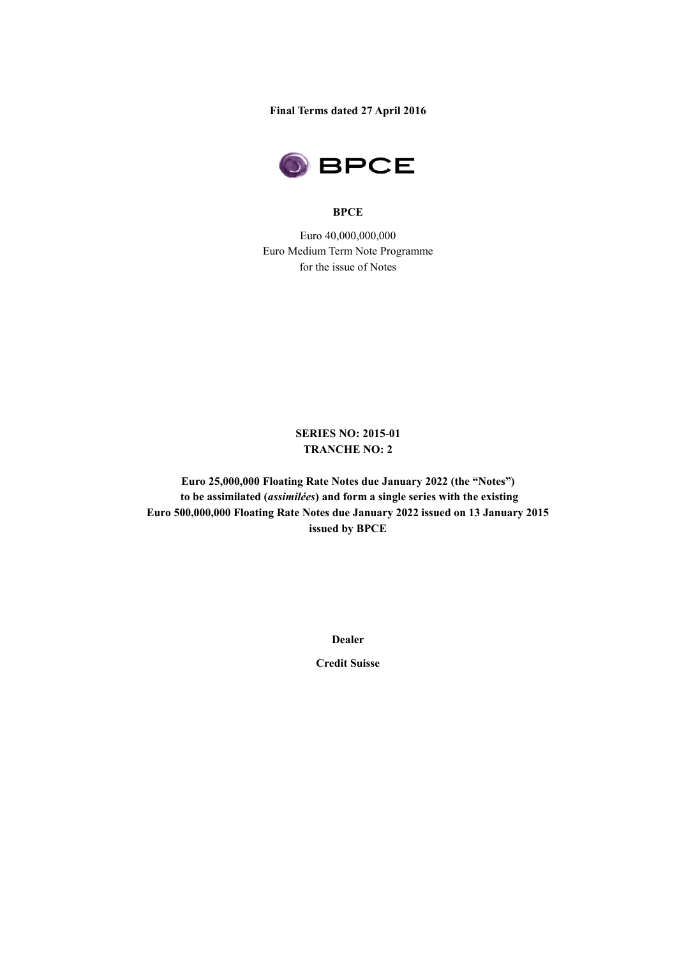**Final Terms dated 27 April 2016** 



#### **BPCE**

Euro 40,000,000,000 Euro Medium Term Note Programme for the issue of Notes

# **SERIES NO: 2015-01 TRANCHE NO: 2**

**Euro 25,000,000 Floating Rate Notes due January 2022 (the "Notes") to be assimilated (***assimilées***) and form a single series with the existing Euro 500,000,000 Floating Rate Notes due January 2022 issued on 13 January 2015 issued by BPCE**

**Dealer**

**Credit Suisse**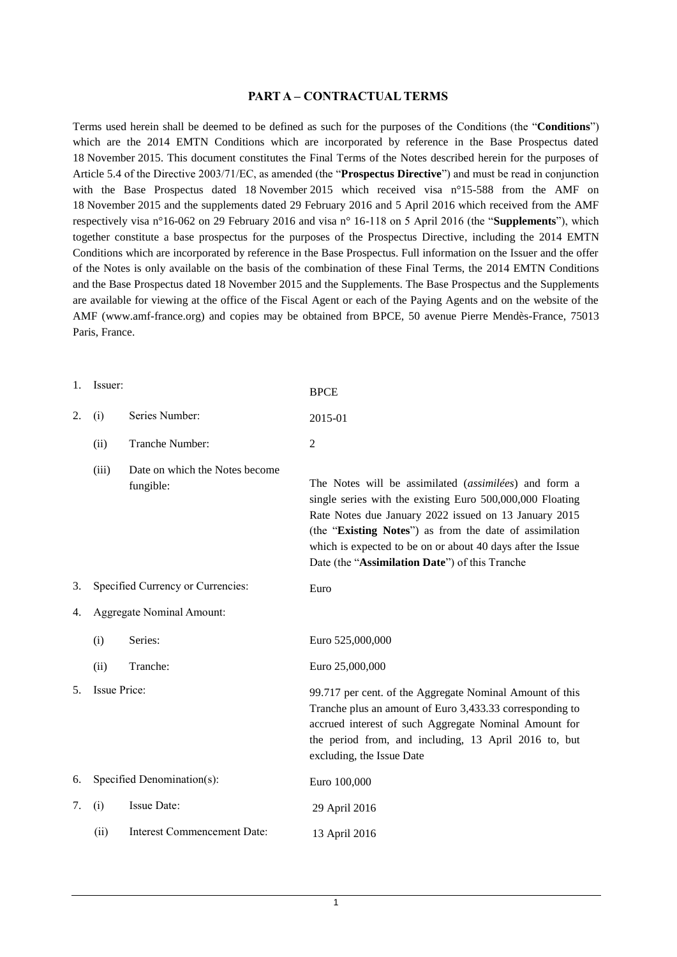#### **PART A – CONTRACTUAL TERMS**

Terms used herein shall be deemed to be defined as such for the purposes of the Conditions (the "**Conditions**") which are the 2014 EMTN Conditions which are incorporated by reference in the Base Prospectus dated 18 November 2015. This document constitutes the Final Terms of the Notes described herein for the purposes of Article 5.4 of the Directive 2003/71/EC, as amended (the "**Prospectus Directive**") and must be read in conjunction with the Base Prospectus dated 18 November 2015 which received visa n°15-588 from the AMF on 18 November 2015 and the supplements dated 29 February 2016 and 5 April 2016 which received from the AMF respectively visa n°16-062 on 29 February 2016 and visa n° 16-118 on 5 April 2016 (the "**Supplements**"), which together constitute a base prospectus for the purposes of the Prospectus Directive, including the 2014 EMTN Conditions which are incorporated by reference in the Base Prospectus. Full information on the Issuer and the offer of the Notes is only available on the basis of the combination of these Final Terms, the 2014 EMTN Conditions and the Base Prospectus dated 18 November 2015 and the Supplements. The Base Prospectus and the Supplements are available for viewing at the office of the Fiscal Agent or each of the Paying Agents and on the website of the AMF (www.amf-france.org) and copies may be obtained from BPCE, 50 avenue Pierre Mendès-France, 75013 Paris, France.

| 1. | Issuer:                           |                                             | <b>BPCE</b>                                                                                                                                                                                                                                                                                                                                             |
|----|-----------------------------------|---------------------------------------------|---------------------------------------------------------------------------------------------------------------------------------------------------------------------------------------------------------------------------------------------------------------------------------------------------------------------------------------------------------|
| 2. | (i)                               | Series Number:                              | 2015-01                                                                                                                                                                                                                                                                                                                                                 |
|    | (ii)                              | Tranche Number:                             | 2                                                                                                                                                                                                                                                                                                                                                       |
|    | (iii)                             | Date on which the Notes become<br>fungible: | The Notes will be assimilated (assimilées) and form a<br>single series with the existing Euro 500,000,000 Floating<br>Rate Notes due January 2022 issued on 13 January 2015<br>(the "Existing Notes") as from the date of assimilation<br>which is expected to be on or about 40 days after the Issue<br>Date (the "Assimilation Date") of this Tranche |
| 3. | Specified Currency or Currencies: |                                             | Euro                                                                                                                                                                                                                                                                                                                                                    |
| 4. | <b>Aggregate Nominal Amount:</b>  |                                             |                                                                                                                                                                                                                                                                                                                                                         |
|    | (i)                               | Series:                                     | Euro 525,000,000                                                                                                                                                                                                                                                                                                                                        |
|    | (ii)                              | Tranche:                                    | Euro 25,000,000                                                                                                                                                                                                                                                                                                                                         |
| 5. | Issue Price:                      |                                             | 99.717 per cent. of the Aggregate Nominal Amount of this<br>Tranche plus an amount of Euro 3,433.33 corresponding to<br>accrued interest of such Aggregate Nominal Amount for<br>the period from, and including, 13 April 2016 to, but<br>excluding, the Issue Date                                                                                     |
| 6. | Specified Denomination(s):        |                                             | Euro 100,000                                                                                                                                                                                                                                                                                                                                            |
| 7. | (i)                               | Issue Date:                                 | 29 April 2016                                                                                                                                                                                                                                                                                                                                           |
|    | (ii)                              | <b>Interest Commencement Date:</b>          | 13 April 2016                                                                                                                                                                                                                                                                                                                                           |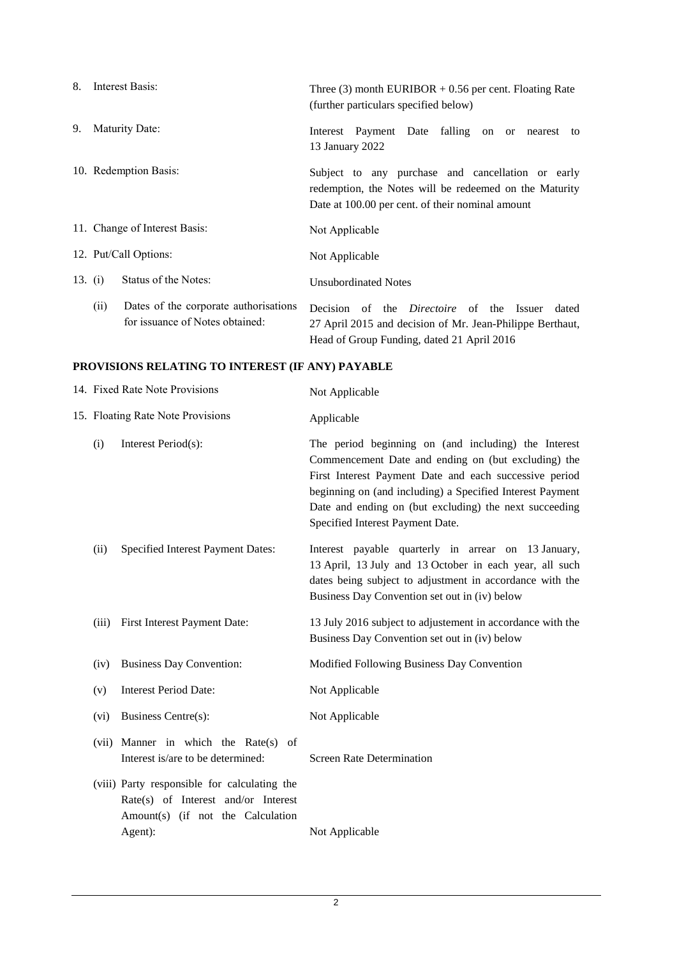| 8. | Interest Basis:                                                                  | Three (3) month EURIBOR $+0.56$ per cent. Floating Rate<br>(further particulars specified below)                                                                    |
|----|----------------------------------------------------------------------------------|---------------------------------------------------------------------------------------------------------------------------------------------------------------------|
| 9. | Maturity Date:                                                                   | Interest Payment Date falling on or<br>nearest to<br>13 January 2022                                                                                                |
|    | 10. Redemption Basis:                                                            | Subject to any purchase and cancellation or early<br>redemption, the Notes will be redeemed on the Maturity<br>Date at 100.00 per cent. of their nominal amount     |
|    | 11. Change of Interest Basis:                                                    | Not Applicable                                                                                                                                                      |
|    | 12. Put/Call Options:                                                            | Not Applicable                                                                                                                                                      |
|    | Status of the Notes:<br>13. $(i)$                                                | <b>Unsubordinated Notes</b>                                                                                                                                         |
|    | Dates of the corporate authorisations<br>(ii)<br>for issuance of Notes obtained: | Decision of the <i>Directoire</i> of the Issuer<br>dated<br>27 April 2015 and decision of Mr. Jean-Philippe Berthaut,<br>Head of Group Funding, dated 21 April 2016 |

# **PROVISIONS RELATING TO INTEREST (IF ANY) PAYABLE**

| 14. Fixed Rate Note Provisions    |                                                                                                                                     | Not Applicable                                                                                                                                                                                                                                                                                                                   |
|-----------------------------------|-------------------------------------------------------------------------------------------------------------------------------------|----------------------------------------------------------------------------------------------------------------------------------------------------------------------------------------------------------------------------------------------------------------------------------------------------------------------------------|
| 15. Floating Rate Note Provisions |                                                                                                                                     | Applicable                                                                                                                                                                                                                                                                                                                       |
| (i)                               | Interest Period(s):                                                                                                                 | The period beginning on (and including) the Interest<br>Commencement Date and ending on (but excluding) the<br>First Interest Payment Date and each successive period<br>beginning on (and including) a Specified Interest Payment<br>Date and ending on (but excluding) the next succeeding<br>Specified Interest Payment Date. |
| (ii)                              | Specified Interest Payment Dates:                                                                                                   | Interest payable quarterly in arrear on 13 January,<br>13 April, 13 July and 13 October in each year, all such<br>dates being subject to adjustment in accordance with the<br>Business Day Convention set out in (iv) below                                                                                                      |
| (iii)                             | First Interest Payment Date:                                                                                                        | 13 July 2016 subject to adjustement in accordance with the<br>Business Day Convention set out in (iv) below                                                                                                                                                                                                                      |
| (iv)                              | <b>Business Day Convention:</b>                                                                                                     | Modified Following Business Day Convention                                                                                                                                                                                                                                                                                       |
| (v)                               | <b>Interest Period Date:</b>                                                                                                        | Not Applicable                                                                                                                                                                                                                                                                                                                   |
| (vi)                              | <b>Business Centre(s):</b>                                                                                                          | Not Applicable                                                                                                                                                                                                                                                                                                                   |
|                                   | (vii) Manner in which the Rate(s) of<br>Interest is/are to be determined:                                                           | <b>Screen Rate Determination</b>                                                                                                                                                                                                                                                                                                 |
|                                   | (viii) Party responsible for calculating the<br>Rate(s) of Interest and/or Interest<br>Amount(s) (if not the Calculation<br>Agent): | Not Applicable                                                                                                                                                                                                                                                                                                                   |
|                                   |                                                                                                                                     |                                                                                                                                                                                                                                                                                                                                  |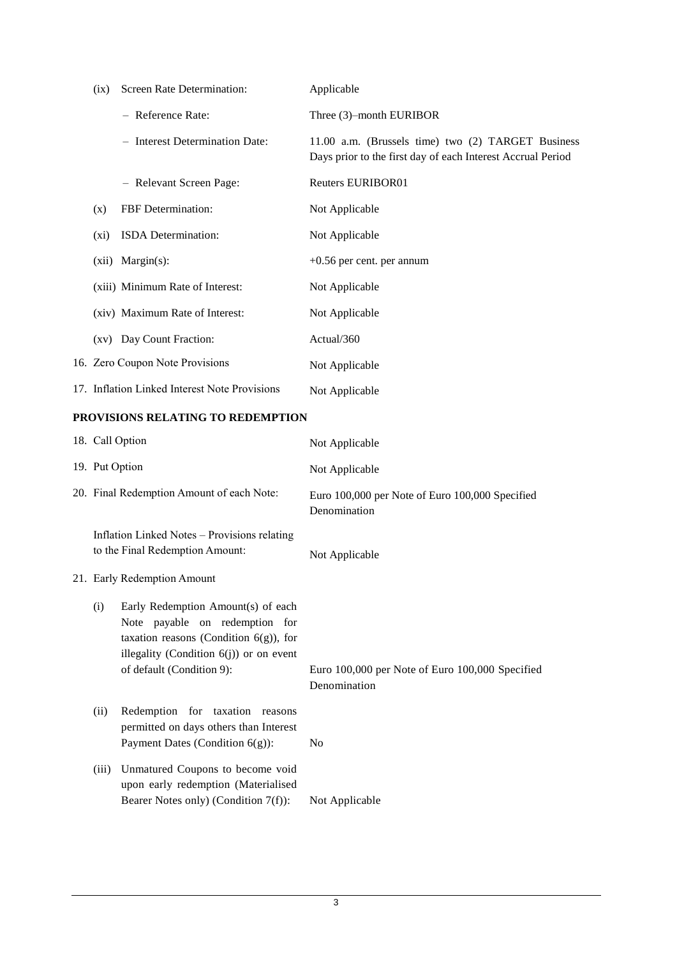| (ix)    | Screen Rate Determination:                    | Applicable                                                                                                        |
|---------|-----------------------------------------------|-------------------------------------------------------------------------------------------------------------------|
|         | - Reference Rate:                             | Three (3)-month EURIBOR                                                                                           |
|         | - Interest Determination Date:                | 11.00 a.m. (Brussels time) two (2) TARGET Business<br>Days prior to the first day of each Interest Accrual Period |
|         | - Relevant Screen Page:                       | <b>Reuters EURIBOR01</b>                                                                                          |
| (x)     | FBF Determination:                            | Not Applicable                                                                                                    |
| $(x_i)$ | ISDA Determination:                           | Not Applicable                                                                                                    |
| (xii)   | $Margin(s)$ :                                 | $+0.56$ per cent. per annum                                                                                       |
|         | (xiii) Minimum Rate of Interest:              | Not Applicable                                                                                                    |
|         | (xiv) Maximum Rate of Interest:               | Not Applicable                                                                                                    |
|         | (xv) Day Count Fraction:                      | Actual/360                                                                                                        |
|         | 16. Zero Coupon Note Provisions               | Not Applicable                                                                                                    |
|         | 17. Inflation Linked Interest Note Provisions | Not Applicable                                                                                                    |

## **PROVISIONS RELATING TO REDEMPTION**

|                | 18. Call Option                                                                                                                                                                              | Not Applicable                                                  |
|----------------|----------------------------------------------------------------------------------------------------------------------------------------------------------------------------------------------|-----------------------------------------------------------------|
| 19. Put Option |                                                                                                                                                                                              | Not Applicable                                                  |
|                | 20. Final Redemption Amount of each Note:                                                                                                                                                    | Euro 100,000 per Note of Euro 100,000 Specified<br>Denomination |
|                | Inflation Linked Notes - Provisions relating<br>to the Final Redemption Amount:                                                                                                              | Not Applicable                                                  |
|                | 21. Early Redemption Amount                                                                                                                                                                  |                                                                 |
| (i)            | Early Redemption Amount(s) of each<br>Note payable on redemption for<br>taxation reasons (Condition $6(g)$ ), for<br>illegality (Condition $6(j)$ ) or on event<br>of default (Condition 9): | Euro 100,000 per Note of Euro 100,000 Specified<br>Denomination |
| (ii)           | Redemption for taxation reasons<br>permitted on days others than Interest<br>Payment Dates (Condition $6(g)$ ):                                                                              | N <sub>0</sub>                                                  |
| (iii)          | Unmatured Coupons to become void<br>upon early redemption (Materialised<br>Bearer Notes only) (Condition $7(f)$ ):                                                                           | Not Applicable                                                  |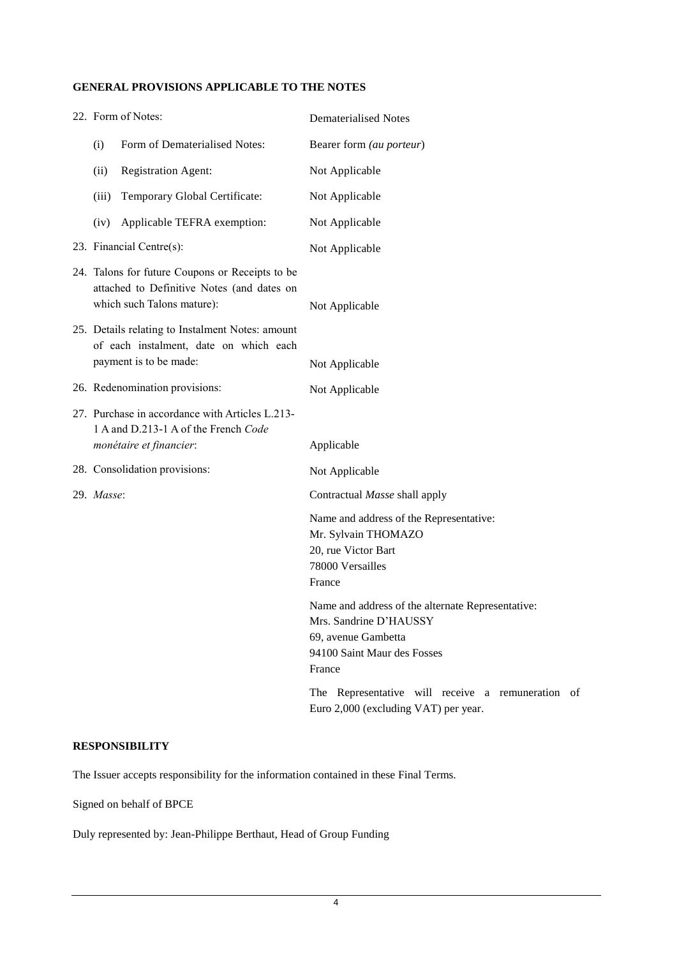### **GENERAL PROVISIONS APPLICABLE TO THE NOTES**

| 22. Form of Notes:                                                                                                          |                                                                                         | <b>Dematerialised Notes</b>                                                                                                                 |
|-----------------------------------------------------------------------------------------------------------------------------|-----------------------------------------------------------------------------------------|---------------------------------------------------------------------------------------------------------------------------------------------|
| (i)                                                                                                                         | Form of Dematerialised Notes:                                                           | Bearer form (au porteur)                                                                                                                    |
| (ii)                                                                                                                        | <b>Registration Agent:</b>                                                              | Not Applicable                                                                                                                              |
| (iii)                                                                                                                       | Temporary Global Certificate:                                                           | Not Applicable                                                                                                                              |
| (iv)                                                                                                                        | Applicable TEFRA exemption:                                                             | Not Applicable                                                                                                                              |
|                                                                                                                             | 23. Financial Centre(s):                                                                | Not Applicable                                                                                                                              |
| 24. Talons for future Coupons or Receipts to be<br>attached to Definitive Notes (and dates on<br>which such Talons mature): |                                                                                         | Not Applicable                                                                                                                              |
| 25. Details relating to Instalment Notes: amount<br>of each instalment, date on which each<br>payment is to be made:        |                                                                                         | Not Applicable                                                                                                                              |
|                                                                                                                             | 26. Redenomination provisions:                                                          | Not Applicable                                                                                                                              |
|                                                                                                                             | 27. Purchase in accordance with Articles L.213-<br>1 A and D.213-1 A of the French Code |                                                                                                                                             |
|                                                                                                                             | monétaire et financier:                                                                 | Applicable                                                                                                                                  |
|                                                                                                                             | 28. Consolidation provisions:                                                           | Not Applicable                                                                                                                              |
| 29. Masse:                                                                                                                  |                                                                                         | Contractual Masse shall apply                                                                                                               |
|                                                                                                                             |                                                                                         | Name and address of the Representative:<br>Mr. Sylvain THOMAZO<br>20, rue Victor Bart<br>78000 Versailles<br>France                         |
|                                                                                                                             |                                                                                         | Name and address of the alternate Representative:<br>Mrs. Sandrine D'HAUSSY<br>69, avenue Gambetta<br>94100 Saint Maur des Fosses<br>France |
|                                                                                                                             |                                                                                         | The Representative will receive a remuneration of<br>Euro 2,000 (excluding VAT) per year.                                                   |

### **RESPONSIBILITY**

The Issuer accepts responsibility for the information contained in these Final Terms.

Signed on behalf of BPCE

Duly represented by: Jean-Philippe Berthaut, Head of Group Funding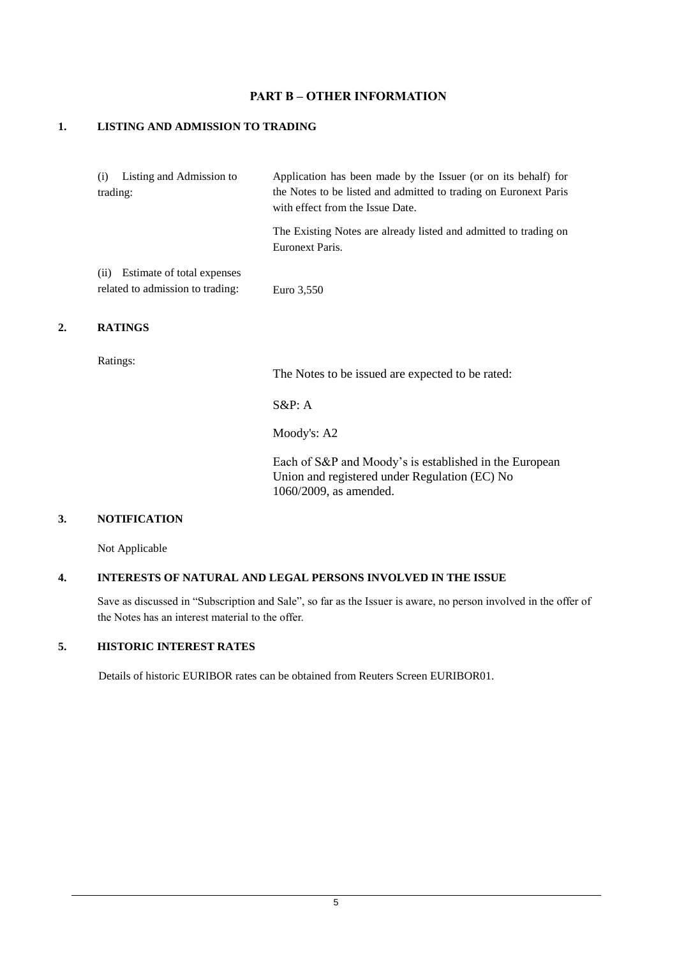### **PART B – OTHER INFORMATION**

#### **1. LISTING AND ADMISSION TO TRADING**

| Listing and Admission to<br>(i)<br>trading:                           | Application has been made by the Issuer (or on its behalf) for<br>the Notes to be listed and admitted to trading on Euronext Paris<br>with effect from the Issue Date. |
|-----------------------------------------------------------------------|------------------------------------------------------------------------------------------------------------------------------------------------------------------------|
|                                                                       | The Existing Notes are already listed and admitted to trading on<br>Euronext Paris.                                                                                    |
| Estimate of total expenses<br>(i)<br>related to admission to trading: | Euro 3,550                                                                                                                                                             |

#### **2. RATINGS**

Ratings:

The Notes to be issued are expected to be rated:

S&P: A

Moody's: A2

Each of S&P and Moody's is established in the European Union and registered under Regulation (EC) No 1060/2009, as amended.

## **3. NOTIFICATION**

Not Applicable

## **4. INTERESTS OF NATURAL AND LEGAL PERSONS INVOLVED IN THE ISSUE**

Save as discussed in "Subscription and Sale", so far as the Issuer is aware, no person involved in the offer of the Notes has an interest material to the offer.

# **5. HISTORIC INTEREST RATES**

Details of historic EURIBOR rates can be obtained from Reuters Screen EURIBOR01.